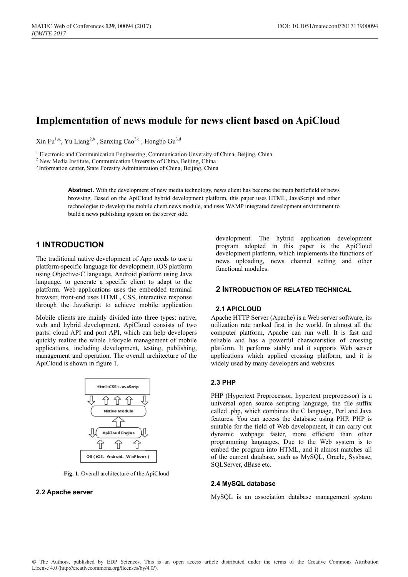# Implementation of news module for news client based on ApiCloud

Xin Fu<sup>1,a</sup>, Yu Liang<sup>2,b</sup>, Sanxing Cao<sup>2,c</sup>, Hongbo Gu<sup>3,d</sup>

<sup>1</sup> Electronic and Communication Engineering, Communication Unversity of China, Beijing, China

<sup>2</sup> New Media Institute, Communication Unversity of China, Beijing, China

<sup>3</sup> Information center, State Forestry Administration of China, Beijing, China

**Abstract.** With the development of new media technology, news client has become the main battlefield of news browsing. Based on the ApiCloud hybrid development platform, this paper uses HTML, JavaScript and other technologies to develop the mobile client news module, and uses WAMP integrated development environment to build a news publishing system on the server side.

# **1 INTRODUCTION**

The traditional native development of App needs to use a platform-specific language for development. iOS platform using Objective-C language, Android platform using Java language, to generate a specific client to adapt to the platform. Web applications uses the embedded terminal browser, front-end uses HTML, CSS, interactive response through the JavaScript to achieve mobile application

Mobile clients are mainly divided into three types: native, web and hybrid development. ApiCloud consists of two parts: cloud API and port API, which can help developers quickly realize the whole lifecycle management of mobile applications, including development, testing, publishing, management and operation. The overall architecture of the ApiCloud is shown in figure 1.



Fig. 1. Overall architecture of the ApiCloud

#### 2.2 Apache server

development. The hybrid application development program adopted in this paper is the ApiCloud development platform, which implements the functions of news uploading, news channel setting and other functional modules.

### **2 INTRODUCTION OF RELATED TECHNICAL**

#### 2.1 APICLOUD

Apache HTTP Server (Apache) is a Web server software, its utilization rate ranked first in the world. In almost all the computer platform, Apache can run well. It is fast and reliable and has a powerful characteristics of crossing platform. It performs stably and it supports Web server applications which applied crossing platform, and it is widely used by many developers and websites.

#### **2.3 PHP**

PHP (Hypertext Preprocessor, hypertext preprocessor) is a universal open source scripting language, the file suffix called .php, which combines the C language, Perl and Java features. You can access the database using PHP. PHP is suitable for the field of Web development, it can carry out dynamic webpage faster, more efficient than other programming languages. Due to the Web system is to embed the program into HTML, and it almost matches all of the current database, such as MySQL, Oracle, Sysbase, SQLServer, dBase etc.

#### 2.4 MySQL database

MySQL is an association database management system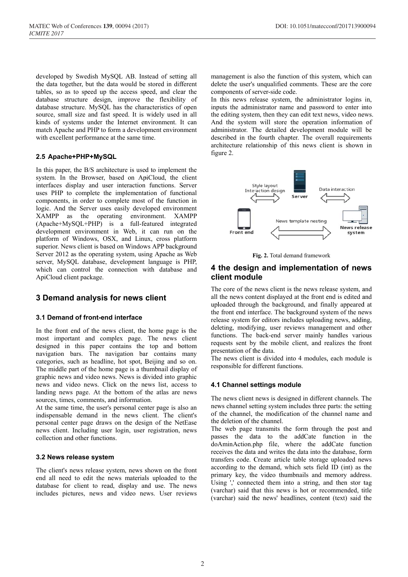developed by Swedish MySQL AB. Instead of setting all the data together, but the data would be stored in different tables, so as to speed up the access speed, and clear the database structure design, improve the flexibility of database structure. MySQL has the characteristics of open source, small size and fast speed. It is widely used in all kinds of systems under the Internet environment. It can match Apache and PHP to form a development environment with excellent performance at the same time.

### **2 2.5 Apache+ +PHP+MySQ QL**

In this paper, the B/S architecture is used to implement the system. In the Browser, based on ApiCloud, the client interfaces display and user interaction functions. Server uses PHP to complete the implementation of functional components, in order to complete most of the function in logic. And the Server uses easily developed environment XAMPP as the operating environment. XAMPP ( (Apache+MyS SQL+PHP) is a full-fe eatured integ grated development environment in Web, it can run on the platform of Windows, OSX, and Linux, cross platform superior. News client is based on Windows APP background s server, MySQ QL database, development language is PHP, which can control the connection with database and ApiCloud client package. Server 2012 as the operating system, using Apache as Web

# **3 3 Demand d analysis for news client**

### **3.1 Demand of front-end interface**

In the front end of the news client, the home page is the most important and complex page. The news client designed in this paper contains the top and bottom navigation bars. The navigation bar contains many categories, such as headline, hot spot, Beijing and so on. The middle part of the home page is a thumbnail display of graphic news and video news. News is divided into graphic news and video news. Click on the news list, access to landing news page. At the bottom of the atlas are news sources, times, comments, and information.

At the same time, the user's personal center page is also an indispensable demand in the news client. The client's personal center page draws on the design of the NetEase news client. Including user login, user registration, news collection and other functions.

#### **3 3.2 News re lease system m**

The client's news release system, news shown on the front end all need to edit the news materials uploaded to the database for client to read, display and use. The news includes pictures, news and video news. User reviews management is also the function of this system, which can delete the user's unqualified comments. These are the core components of server-side code.

In this news release system, the administrator logins in, inputs the administrator name and password to enter into the editing system, then they can edit text news, video news. And the system will store the operation information of adm ministrator. T The detailed d development module will be described in the fourth chapter. The overall requirements architecture relationship of this news client is shown in fig ure 2.



Fig. 2. Total demand framework

# **4 the desig n and imp plementati ion of new ws client module**

The core of the news client is the news release system, and all the news content displayed at the front end is edited and uploaded through the background, and finally appeared at the front end interface. The background system of the news release system for editors includes uploading news, adding, deleting, modifying, user reviews management and other functions. The back-end server mainly handles various requests sent by the mobile client, and realizes the front presentation of the data.

The news client is divided into 4 modules, each module is responsible for different functions.

### **4.1 Channel settings module**

The news client news is designed in different channels. The news channel setting system includes three parts: the setting of the channel, the modification of the channel name and the deletion of the channel.

The web page transmits the form through the post and passes the data to the addCate function in the doAminAction.php file, where the addCate function receives the data and writes the data into the database, form transfers code. Create article table storage uploaded news according to the demand, which sets field ID (int) as the primary key, the video thumbnails and memory address. Using ',' connected them into a string, and then stor tag (varchar) said that this news is hot or recommended, title (varchar) said the news' headlines, content (text) said the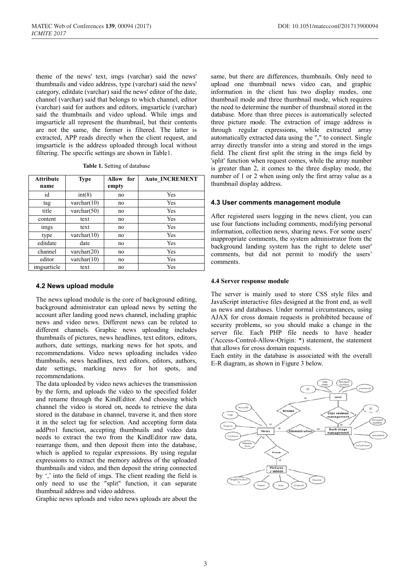theme of the news' text, imgs (varchar) said the news' thumbnails and video address, type (varchar) said the news' category, editdate (varchar) said the news' editor of the date, channel (varchar) said that belongs to which channel, editor (varchar) said for authors and editors, imgsarticle (varchar) said the thumbnails and video upload. While imgs and imgsarticle all represent the thumbnail, but their contents are not the same, the former is filtered. The latter is extracted, APP reads directly when the client request, and imgsarticle is the address uploaded through local without filtering. The specific settings are shown in Table1.

|  |  |  | <b>Table 1.</b> Setting of database |
|--|--|--|-------------------------------------|
|--|--|--|-------------------------------------|

| <b>Attribute</b><br>name | <b>Type</b>          | for<br><b>Allow</b><br>empty | <b>Auto INCREMENT</b> |
|--------------------------|----------------------|------------------------------|-----------------------|
| id                       | int(8)               | no                           | Yes                   |
| tag                      | $\text{varchar}(10)$ | no                           | Yes                   |
| title                    | varchar $(50)$       | no                           | Yes                   |
| content                  | text                 | no                           | Yes                   |
| 1 <sub>mgs</sub>         | text                 | no                           | Yes                   |
| type                     | varchar $(10)$       | no                           | Yes                   |
| editdate                 | date                 | no                           | Yes                   |
| channel                  | varchar $(20)$       | no                           | Yes                   |
| editor                   | varchar $(10)$       | no                           | Yes                   |
| imgsarticle              | text                 | no                           | Yes                   |

### **4 4.2 News up pload modul le**

The news upload module is the core of background editing, background administrator can upload news by setting the account after landing good news channel, including graphic news and video news. Different news can be related to different channels. Graphic news uploading includes thumbnails of pictures, news headlines, text editors, editors, authors, date settings, marking news for hot spots, and recommendations. Video news uploading includes video thumbnails, news headlines, text editors, editors, authors, date settings, marking news for hot spots, recommendations. and

The data uploaded by video news achieves the transmission by the form, and uploads the video to the specified folder and rename through the KindEditor. And choosing which channel the video is stored on, needs to retrieve the data stored in the database in channel, traverse it, and then store it in the select tag for selection. And accepting form data addPro1 function, accepting thumbnails and video data needs to extract the two from the KindEditor raw data, rearrange them, and then deposit them into the database, which is applied to regular expressions. By using regular expressions to extract the memory address of the uploaded thumbnails and video, and then deposit the string connected by ',' into the field of imgs. The client reading the field is only need to use the "split" function, it can separate t thumbnail add dress and vide o address.

Graphic news uploads and video news uploads are about the

same, but there are differences, thumbnails. Only need to upload one thumbnail news video can, and graphic information in the client has two display modes, one thumbnail mode and three thumbnail mode, which requires the need to determine the number of thumbnail stored in the database. More than three pieces is automatically selected three picture mode. The extraction of image address is through regular expressions, while extracted array automatically extracted data using the "," to connect. Single array directly transfer into a string and stored in the imgs field. The client first split the string in the imgs field by 'split' function when request comes, while the array number is greater than 2, it comes to the three display mode, the number of 1 or 2 when using only the first array value as a thumbnail display address.

#### **4.3 3 User comm ments mana agement mod dule**

After registered users logging in the news client, you can use four functions including comments, modifying personal information, collection news, sharing news. For some users' inappropriate comments, the system administrator from the background landing system has the right to delete user comments, but did not permit to modify the users' comments.

#### **4.4 4 Server respo onse module**

The server is mainly used to store CSS style files and JavaScript interactive files designed at the front end, as well as news and databases. Under normal circumstances, using AJAX for cross domain requests is prohibited because of security problems, so you should make a change in the server file. Each PHP file needs to have header ('Access-Control-Allow-Origin: \*) statement, the statement that allows for cross domain requests.

Each entity in the database is associated with the overall E-R diagram, as shown in Figure 3 below.